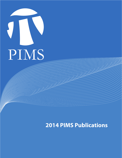

## **2014 PIMS Publications**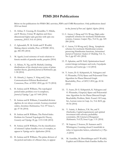## **PIMS 2014 Publications**

Below we list publications for PIMS CRG activities, PDFs and CNRS Researchers. Only publications dated 2014 are listed.

- 1. H. Afshar, T. Creutzig, D. Grumiller, Y. Hikida, and P. Ronne, Unitary W-algebras and threedimensional higher spin gravities with spin one symmetry, *JHEP*, Vol. 63 (2014)
- 2. Z. Aghazadeh, W. M. Golab and P. Woelfel, Making objects writable, Proc. of PODC 2014, pp. 385-395 (2014)
- 3. M. Agueh, Local existence of weak solutions to kinetic models of granular media, preprint (2014)
- 4. A. Akbary, N. Ng, and M. Shahabi, Limiting distributions of the classical error terms of prime number theory, *Quarterly Journal of Mathematics,* pp. 1-38 (2014)
- 5. D. Alistarh, J. Aspnes, V. King and J. Saia, Communication-Efficient Randomized Consensus, Proc. of *DISC 2014*, pp. 61-75 (2014)
- 6. B. Antieau and B. Williams, The topological period-index problem over 6-complexes, *Journal of Topology 7*, pp. 617-640 (2014)
- 7. B. Antieau and B. Williams, Unramified division algebras do not always contain Azumaya maximal orders, *Inventiones Mathematicae,* Vol. 197 Issue 1, pp. 47-56 (2014)
- 8. B. Antieau and B. Williams, The Period-Index Problem for Twisted Topological K-Theory, *Geometry and Topology 18*, pp. 1115-1148 (2014)
- 9. B. Antieau and B. Williams, On the classification of oriented 3-plane bundles over a 6-complex, to appear in *Topology and its Applications* (2014)
- 10. B. Antieau and B. Williams, The prime divisors of the period and index of a Brauer class, to appear

in the *Journal of Pure and Applied Algebra* (2014)

- 11. C. Anton, J. Deng and Y.S. Wong, High-order symplectic schemes for stochastic Hamiltonian systems, *Commun. Comput. Phys*., Vol 16., pp. 169- 200 (2014)
- 12. C. Anton, Y.S Wong and J. Deng, Symplectic schemes for stochastic Hamiltonian systems preserving Hamiltonian functions, *International Journal of Numerical Analysis & Modeling*, Vol. 11, No 3, pp 427-451 (2014)
- 13. P. Apkarian, and D. Noll, Optimization-based control design techniques and tools, *Encyclopedia of Systems and Control,* pp. 1-12 (2014)
- 14. T. Asano, D. G. Kirkpatrick, K. Nakagawa and O. Watanabe,  $\tilde{O}(\sqrt{n})$ -Space and Polynomial-Time Algorithm for Planar Directed Graph Reachability, Proc. of *MFCS 2014*, pp. 45-56 (2014)
- 15. T. Asano, D. G. Kirkpatrick, K. Nakagawa and O. Watanabe, O(sqrt(n))-Space and Polynomialtime Algorithm for the Planar Directed Graph Reachability Problem, Math. Found. Of Comp. Sci., Lecture notes in *Comp. Sci.,* Vol. 8635, pp. 45-56 (2014)
- 16. V. Asimit, A. Badescu, T.K. Siu, and Y. Zinchenko, Capital requirements and optimal investment with solvency probability constraints, *IMA Journal of Management Mathematics,* Vol 25, Issue 4, pp. 1-31 (2014)
- 17. M Atapour, C Soteros, D. Sumners and S. Whittington, Counting closed 2-manifolds in tubes in hypercubic lattices, submitted to *J. Phys. A* (2014)
- 18. M. Aumüller, M. Dietzfelbinger and P. Woelfel, Explicit and Efficient Hash Families Suffice for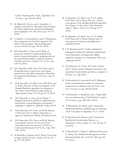Cuckoo Hashing with a Stash, *Algorithmica* Vol. 70, Issue 3, pp. 428-456 (2014)

- 19. M. Ballard, D. Favero, and L. Katzarkov, A category of kernels for equivariant factorizations, II: further implications, *Journal de mathématiques pures et appliquées,* Vol. 102, Issue 4, pp. 702-757 (2014)
- 20. C. Bardos, L. Szekelyhidi, Jr., and E. Wiedemann, Non-uniqueness for the Euler equations: The effect of the boundary, *Russian Mathematical Surveys*, Vol 69, No 2 pp. 189-207 (2014)
- 21. H.H. Bauschke, J. Chen, and X. Wang, A projection method for approximating fixed points of quasi nonexpansive mappings without the usual demiclosedness condition, *Journal of Nonlinear and Convex Analysis*, Vol. 15, No 1 pp. 129-135 (2014)
- 22. H.H. Bauschke, D.R. Luke, H.M. Phan, and X. Wang, Restricted normal cones and sparsity optimization with affine constraints, *Foundations of Computational Mathematics*, Vol 14, Iss 1 pp. 63- 83 (2014)
- 23. H.H. Bauschke, J.Y. Bello Cruz, H.M. Phan, and X. Wang, The rate of linear convergence of the Douglas-Rachford algorithm for subspaces is the cosine of the Friedrichs angle, *Journal of Approximation Theory*, Vol 185, pp. 63-79 (2014)
- 24. H.H. Bauschke, J. Chen, and X. Wang, A Bregman projection method for approximating fixed points of quasi-Bregman nonexpansive mappings, to appear in *Applicable Analysis* (2014)
- 25. H.H. Bauschke, W.L. Hare, and W.M. Moursi, A Derivative-Free CoMirror Algorithm, to appear in *Optimization Methods and Software* (2014)
- 26. H.H. Bauschke, W.L. Hare, and W.M. Moursi, Generalized solutions for the sum of two maximally monotone operators, *SIAM J. on Control and Optimization,* Vol 52, No. 2 pp. 1034- 1047 (2014)
- 27. H. Bauschke, J. Sarada, and X. Wang, On moving averages, *Journal of Convex Analysis*, Vol 21, No 1 pp. 219-235 (2014)
- 28. H. Bauschke, J.Y. Bello-Cruz, T.T.A. Nghia, H.M. Phan, and X. Wang: The rate of linear convergence of the Douglas-Rachford algorithm for subspaces is the cosine of the Friedrichs angle, *J. Approx. Theory*, Vol. 185, pp. 63-79 (2014)
- 29. H. Bauschke, J.Y. Bello-Cruz, T.T.A. Nghia, H.M. Phan, and X. Wang: Optimal rates of convergence of matrices and applications, submitted (2014)
- 30. J. D. Benamou and G. Carlier, Augmented Lagrangian methods for transport optimization, mean-field games and degenerate elliptic equations, accepted to *J. Optimization Theory and Applications* (2014)
- 31. J.D. Benamou, G. Carlier, M. Cuturi, G.Peyre and L. Nenna, Iterative Bregman projections for regularized transportation problems, to appear in *SIAM J. Sci. Comp* (2014)
- 32. P. Berenbrink, B. Krayenhoff and F. Mallmann-Trenn, Estimating the number of connected components in sublinear time, *Inf. Process. Lett.* Vol. 114, Issue 11, pp. 639-642 (2014)
- 33. P. Berenbrink, A. Briedetzky and L. Nagel, Balls into non-uniform bins, *J. Parallel Distrib. Comput.,*  Vol.74, Issue 2, pp. 2065-2076 (2014)
- 34. P. Berenbrink, M. Hoefer and T. Sauerwald, Distributed Selfish Load Balancing on Networks, *ACM Transactions on Algorithms*, Vol. 11 (2014)
- 35. P. Berenbrink, R. Elsässer, and T. Sauerwald, Randomised broadcasting: Memory vs. randomness, *Theor. Comput. Sci*., Vol. 520, pp. 27- 42 (2014)
- 36. P. Berenbrink, F. Ergün, F. Mallmann-Trenn and E. Sadeqi Azer, Palindrome Recognition In The Streaming Model, *Proc. of STACS 2014*, pp.149- 161 (2014)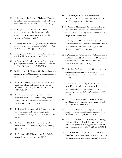- 37. P. Berenbrink, F. Ergün, F. Mallmann-Trenn and E. Sadeqi Azer, Palindrome Recognition In The Streaming Model, *Proc. of STACS 2014* (2014*)*
- 38. M. Bergeron, The topology of nilpotent representations in reductive groups and their maximal compact subgroups, to appear in *Geometry and Topology*, (2014)
- 39. A. Berget and B. Rhoades, Extending the parking representation, *Journal of Combinatorial Theory Ser. A*, Vol. 123, Issue 1, pp. 43-56 (2014)
- 40. A. Berget and A. Fink, Equivariant K-classes of matrix orbit closures, submitted (2014)
- 41. A. Berget and Brendon Rhoades, Extending the parking representation, *J. Combinatorial Theory Ser. A*, Vol 123, Issue 1, pp. 43-56 (2014)
- 42. N. Billerey and R. Menares, On the modularity of reducible mod l Galois representations, accepted to *Math. Research Letters* (2014)
- 43. M. R. Bremner and S. Madariaga, Dendriform analogues of Lie and Jordan triple systems, *Communications in Algebra*, Vol 42, Issue 11, pp. 4696-4711 (2014)
- 44. K. Bringmann, T. Creutzig, and L. Rolen, Negative Index Jacobi Forms and Quantum Modular Forms, *Research in the Mathematical Sciences,* Vol 1, Issue 11, (2014)
- 45. F. Brown, O. Schnetz, and K. Yeats, Properties of c2 invariants of Feynman graphs, *Adv. in Theo. and Math. Phys.*, Vol. 18, No 2, pp. 323-362 (2014)
- 46. R. Budney and W. Sethares, Topology of musical data, *J. Math & Music*, Vol. 8, Issue 1, pp. 73-92 (2014)
- 47. R. Budney and J. Hillman, A small, infinitelyended 2-knot group, preprint (2014)
- 48. R. Budney, D. Sinha, R. Koytcheff and J. Conant, Embedding calculus knot invariants are of finite type, submitted (2014)
- 49. S. Burrill, S. Melczer and M. Mishna, A Baxter class of a different kind, and other bijective results using tableau sequences ending with a row shape, submitted (2014)
- 50. D. Calegari and D. Rolfsen, Groups of PL homeomorphisms of cubes, to appear in *Annales de la Faculte des Sciences de Toulouse, special issue dedicated to Michel Boileau*, (2014)
- 51. M. Cariglia, G. W. Gibbons, D. Kubiznak, and C. M. Warnick, Hidden Symmetries of Dynamics in Classical and Quantum Physics, accepted to *Reviews in Modern Physics* (2014)
- 52. G. Carlier, A. Oberman and E. Oudet, Numerical methods for matching for teams and Wasserstein barycenters, to appear in *M2AN*  (2014)
- 53. D. Chan and D. G. Kirkpatrick, Multi-Path Algorithms for minimum-colour path problems with applications to approximating barrier resilience, *Theor. Comput. Sci*., Vol. 553, pp. 74-90 (2014)
- 54. K. Chan, C. Walton and J. Zhang, Hopf actions and Nakayama automorphisms, *Journal of Algebra*  Vol. 409, pp. 26-53 (2014)
- 55. K. Chan, C. Walton, Y. Wang and J. Zhang, Hopf actions on filtered regular algebras, *Journal of Algebra,* Vol. 397, pp. 68-90 (2014)
- 56. K. Chan, E. Kirkman, C. Walton, and J. Zhang, Quantum binary polyhedral groups and their actions on quantum planes, *Journal Fur die Reine und Angewandte Mathematik (Crelle's Journal)* (2014)
- 57. Y. B. Chan and A. Rechnitzer, Accurate lower bounds on two-dimensional constraint capacities from corner transfer matrices, *IEEE Transactions*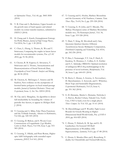*on Information Theory* , Vol. 60, pp. 3845-3858 (2014)

- 58. Y. B. Chan and A. Rechnitzer, Upper bounds on the growth rates of hard squares and related models via corner transfer matrices, submitted to *DMTCS* (2014)
- 59. H. Chang and A. Karch, Entanglement Entropy for Probe Branes, *Journal of High Energy Physics*, Vol 2014, No 1, pp. 1-30 (2014)
- 60. C. Chen, L. Zheng, A. Thomo, K. Wu and V. Srinivasan, Comparing the staples in latent factor models for recommender systems, *Proc. of SAC 2014*, pp. 91-96 (2014)
- 61. S. Chester, B. M. Kapron, G. Srivastava, V. Srinivasan and A. Thomo, Anonymization and Deanonymization of Social Network Data, *Encyclopedia of Social Network Analysis and Mining*, pp. 48-56 (2014)
- 62. M. Cheston, K. McGregor, C. Soteros and M. Szafron, New evidence on the asymptotics of knotted lattice polygons via local strand-passage models*, Journal of Statistical Mechanics: Theory and Experiment*, Issue. 2, Art. No. 02014 (2014)
- 63. M. Clay and J. Mangahas, An algorithm to detect full irreducibility by bounding the volume of periodic free factors, to appear in *Michigan Math. J.* (2014)
- 64. T. Creutzig and A. Milas, False Theta Functions and the Verlinde formula, *Advances in Mathematics*, Vol 262, pp. 520-545 (2014)
- 65. T. Creutzig, D. Ridout, and S. Wood, Coset Constructions of Logarithmic (1,p)-Models, *Letters in Math. Physics*, Vol 104, Issue 5, pp. 553- 583 (2014)
- 66. T. Creutzig, Y. Hikida, and Peter Ronne, Higher spin AdS3 holography with extended supersymmetry, *JHEP*, Vol 163, (2014)
- 67. T. Creutzig and G. Hoehn, Mathieu Moonshine and the Geometry of K3 Surfaces, *Commun. Num. Theor. Phys.,* Vol 8, No 2, pp. 295-328 (2014)
- 68. T. Creutzig, G. H. John, and T. Miezaki, The McKay-Thompson series of Mathieu Moonshine modulo two, *The Ramanujan Journal* , Vol. 34, Issue 3, pp. 319-328 (2014)
- 69. V. Dani, V. King, M. Movahedi and J. Saia, Quorums Quicken Queries: Efficient Asynchronous Secure Multiparty Computation, *Distributed Computing and Networking*, Vol. 8314, pp. 242-256 (2014)
- 70. P. Dao, I. Numanagic, Y.Y. Lin, F. Hach, E. Karakoç, N. Donmez, C. Collins, E. E. Eichler and S. C. Sahinalp, ORMAN: Optimal resolution of ambiguous RNA-Seq multimappings in the presence of novel isoforms, *Bioinformatics,* Vol. 30, Issue 5, pp. 644-651 (2014)
- 71. R. Davis, C. Doran, A. Gewiss, A. Novoseltsev, D. Skjorshammer, A. Syryczuk, and U. Whitcher, Short Tops and Semistable Degenerations, *Experimental Mathematics*, Vol 23, Issue 4, pp. 351-362 (2014)
- 72. E. D. Demaine, Martin L. Demaine, Nicholas J. A. Harvey, Ryuhei Uehara, Takeaki Uno, Yushi Uno, UNO is hard, even for a single player. *Theor. Comput. Sci.* Vol. 521, pp. 51-61 (2014)
- 73. M. Dietzfelbinger and P. Woelfel, Tight Lower Bounds for Greedy Routing in Higher-Dimensional Small-World Grids, *Proc. of SODA 2014*, pp. 816-829 (2014)
- 74. C. Doran, T. Hubsch, K. M. Iga, and G. D. Landweber, On General Off-Shell Representations of Worldline (1D) Supersymmetry, *Symmetry*, Vol 6, pp. 67-88 (2014)
- 75. C. Doran, S. Mendez-Diez and J. Rosenberg, Tduality for Orientifolds and Twisted KR-theory,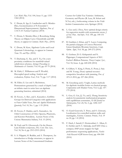*Lett. Math. Phys,* Vol. 104, Issue 11, pp. 1333- 1364 (2014)

- 76. C. Doran, K. Iga, G. Landweber and S. Méndez-Diez, Geometrization of N-Extended 1- Dimensional Supersymmetry Algebras, *Proc. of SACNAS National Conference* (2014)
- 77. C. Doran, S. Mendez-Diez, J. Rosenberg, String Theory on Elliptic Curve Orientifolds and KRtheory, to appear in *Commun. Math. Phys.,* (2014)
- 78. C. Doran, M. Kerr, Algebraic Cycles and Local Quantum Cohomology, to appear in *Commun. Num. Th. and Phys*. (2014)
- 79. T. Duchamp, G. Xie, and T. Yu, On a new proximity conditions for manifold-valued subdivision schemes, *Springer Proceedings in Mathematics & Statistics.* Vol. 83, pp. 65-79 (2014)
- 80. M. Elahi, C. Williamson and P. Woelfel, Decoupled speed scaling: Analysis and evaluation, *Perform. Eval.*, Vol. 73, pp. 3-17 (2014)
- 81. M. Elder, G. Lee and A. Rechnitzer, Permutations generated by a stack of depth 2 and an infinite stack in series have an algebraic generating function, submitted (2014)
- 82. D. Favero, A. Iliev, and L. Katzarkov, Griffiths Groups for Derived Categories with applications to Fano-Calabi-Yaus, *Pure and Applied Mathematics Quarterly*, Vol. 10, No. 1, pp. 1-55 (2014)
- 83. D. Favero, F. Haiden, and L. Katzarkov, An Orbit Construction of Orlov Spectra, Phantoms, and Knorrer Periodicity, Lecture Notes of the Unione Matematica Italiana, Vol. 15 (2014).
- 84. M. Fazly and N. Ghoussoub, On the Henon-Lane-Emden conjecture, *Disc. Cont. Dyn. Syst*., Vol. 34, No 6, pp. 2513-2533 (2014)
- 85. S. A. Filippini, H. Ruddat, and A. Thompson, An introduction to Hodge structures, to appear in Lecture Notes of the Concentrated Graduate

Courses for Calabi-Yau Varieties: Arithmetic, Geometry and Physics (R. Laza, M. Schutt and N.Yui, eds.), forthcoming volume in the *Fields Institute Communications series,* Springer (2014)

- 86. L. Gao and J. Zhou, New optimal design criteria for regression models with asymmetric errors, *J. of Stat. Plan. And Infer.,* Vol. 149, pp. 140-151 (2014)
- 87. B. Gardiner, J. Khan, and Y. Lucet, Computing the partial conjugate of Convex Piecewise Linear-Quadratic Bivariate functions, *Comp. Optim. Appl.*, Vol. 58, pp. 249-272 (2014)
- 88. E. Gethner, D. G. Kirkpatrick and N. Pippenger, Computational Aspects of M.C. Escher's Ribbon Patterns, *Theory Comput. Syst*., Vol. 54, Issue. 4, pp. 640-658 (2014)
- 89. S. Gilbert, V. King, S. Pettie, E. Porat, J. Saia and M. Young, (Near) optimal resourcecompetitive broadcast with jamming, *Proc. of SPAA 2014*, pp. 257-266 (2014)
- 90. M. Greenberg and J. Voight, Lattice methods for algebraic modular forms on classical groups, *Computations with Modular Forms*, Vol. 6, pp. 147- 179 (2014)
- 91. L. Guo, G. Lin, J.J. Ye, and J. Zhang, Sensitivity analysis for parametric mathematical programs with equilibrium constraints, *SIAM Journal on Optimization*, Vol .24, No 3, pp. 1206-1237 (2014)
- 92. O. Gurel-Gurevich, Y. Peres, and O. Zeitouni, Localization for controlled random walks and martingales, *Electron. Commun. Probab.*, Vol. 19 no 24, pp. 1-8 (2014)
- 93. F. Hach, I. Sarrafi, F. Hormozdiari, C. Alkan, E. E. Eichler and S. C. Sahinalp, mrsFAST-Ultra: a compact, SNP-aware mapper for high performance sequencing applications, *Nucleic Acids Research 42(Webserver-Issue),* pp. 494-500 (2014)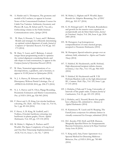- 94. A. Harder and A. Thompson, The geometry and moduli of K3 surfaces, to appear in Lecture Notes of the Concentrated Graduate Courses for Calabi-Yau Varieties: Arithmetic, Geometry and Physics (R. Laza, M. Schutt and N. Yui, eds.), forthcoming volume in the Fields Institute Communications series, *Springer* (2014)
- 95. W. Hare, S. Hossain, Y. Lucet, and F. Rahman, Models and strategies for efficiently determining an optimal vertical alignment of roads, *Journal of Computers & Operations Research*, Vol 44, pp. 161- 173 (2014)
- 96. W. Hare, Y. Lucet, and F. Rahman, A mixedinteger linear programming model to optimize the vertical alignment considering blocks and side-slopes in road construction, to appear in the *European Journal of Operational Research* (2014)
- 97. W. Hare, Numerical approximations of vudecompositions, u-gradients, and u-hessians, to appear in *SIAM Journal on Optimization* (2014)
- 98. N. J. A. Harvey, R. Schwartz and M. Singh, Discrepancy Without Partial Colorings, *Proc. of APPROX-RANDOM 2014*, pp. 258-273 (2014)
- 99. N. J. A. Harvey and N. Olver, Pipage Rounding, Pessimistic Estimators and Matrix Concentration, *Proc. of SODA 2014*, pp. 926-945 (2014)
- 100. F. Havet and A. D. King, List circular backbone colouring, *Dis. Math. And Theo. Comp. Sci.,* Vol 16, No 1, pp. 89-104 (2014)
- 101. F. Havet, A. D. King, M. Liedloff, and I. Todinca, (Circular) backbone colouring: tree backbones in planar graphs, *Discrete Applied Mathematics*, Vol, 169, pp. 119-134 (2014)
- 102. M. Helmi, L. Higham, E. Pacheco and P. Woelfel, The Space Complexity of Long-Lived and One-Shot Timestamp Implementations, *J. ACM*, Vol. 61, Issue 1, Art. No. 7 (2014)
- 103. M. Helmi, L. Higham and P. Woelfel, Space Bounds for Adaptive Renaming, *Proc. of DISC 2014*, pp. 303-317 (2014)
- 104. G. H. Holzegel and C. M. Warnick, Boundedness and growth for the massive wave equation on asymptotically anti-de Sitter black holes, *Journal for Functional Analysis,* Vol. 266, Issue 4, pp. 2436- 2485 (2014)
- 105. M. Huruguen, Log homogeneous compactifications of some classical groups, accepted to *Documenta Mathematica* (2014)
- 106. M. Huruguen, Special reductive groups over an arbitrary field, submitted to *Algebra and Number Theory* (2014)
- 107. T. Hulshof, M. Heydenreich, and R. Hofstad, High-dimensional incipient infinite clusters revisited, *J. Stat. Phys*., Vol. 155, pp. 966-1025 (2014)
- 108. T. Hulshof, M. Heydenreich and R. V.D. Hofstad, Random walk on the high-dimensional IIC, *Commun. Math. Phys*., Vol. 329, Issue 1, pp. 57-155 (2014)
- 109. J. Hubicka, J Fiala and Y Long, Universality of intervals of line graph order*, European Journal of Combinatorics*, Vol. 41, pp. 221-231 (2014)
- 110. J. Hubicka, and J. Nesetril, Bowtie-free graphs have a Ramsey lift, submitted to *Advances in Applied Mathematics* (2014)
- 111. H. Kammeyer, W. Lueck and H. Rueping, The Farrell-Jones conjecture for arbitrary lattices in virtually connected Lie Groups, submitted (2014)
- 112. D.C. Kessler, P.D. Hoff, and D.B. Dunson, Marginally Specified Priors for Nonparametric Bayesian Estimation, *Journal of the Royal Statistical Society Series B* (2014)
- 113. V. King and J. Saia, Faster Agreement via a Spectral Method for Detecting Malicious Behavior*, Proc. of SODA 2014*, pp. 785-800 (2014)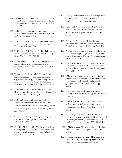- 114. J. Kitagawa and Y. Kim, On the degeneracy of optimal transportation, *Communications in Partial Differential Equations*, Vol 39, Issue 7, pp. 1329- 1363 (2014)
- 115. M. Kool, Euler characteristics of moduli spaces of torsion free sheaves on toric surfaces, *Geom. Dedicata*, to appear (2014)
- 116. M. Kool and R. P. Thomas, Reduced classes and curve counting on surfaces I: theory, *Alg. Geom.,*  Vol. 3, pp. 334-383 (2014)
- 117. M. Kool and R. P. Thomas, Reduced classes and curve counting on surfaces I: calculations, *Alg. Geom.,* Vol. 3 pp. 384-399 (2014)
- 118. L. Korobenko and C. Rios, Hypoellipticity of certain infinitely degenerate second order operators, *J. Math. Anal. Appl*. Vol. 409, pp. 41- 55 (2014)
- 119. F. Krahmer, R. Saab, and O. Yilmaz, Sigma-Delta quantization of sub-Gaussian frame expansions and its application to compressed sensing, Oxford Journals Science & Mathematics *Information and Inference,* Vol. 3, pp. 40-58 (2014)
- 120. Y. Kurochkin, A. S. Prasad and A*.* I. Lvovsky, Distillation of the two-mode squeezed state, *Phys. Rev. Lett.,* Vol 112, Issue 7 (2014)
- 121. M. Laca, I. Raeburn, J. Ramagge, and M. Whittaker, Equilibrium states on the Cuntz-Pimsner algebras of self similar actions, *Journal of Functional Analysis*, Vol 266, Issue 11, pp. 6619- 6661 (2014)
- 122. Guoyin Li and Ting Kei Pong, Splitting methods for nonconvex composite optimization, submitted (2014)
- 123. G.H. Lin, M. Xu, and J.J. Ye, On solving simple bilevel programs with a nonconvex lower level program, *Mathematical Programming Series A,* Vol 144, pp. 277-305 (2014)
- 124. M. Lin, A determinantal inequality for positive definite matrices, *Electronic Journal of Linear Algebra,* Vol. 27, pp. 821-826 (2014).
- 125. M. Lin and P. Van Den Driessche, Positive semidefinite 3-by-3 block matrices*, Electronic Journal of Linear Algebra*, Vol. 27, pp. 827-836 (2014)
- 126. P. Lisonek, P. Badziag, J.R. Portillo, and A.Cabello, The simplest Kochen-Specker set, *Physical Review Letters*, Vol 113, Issue 9, (2014)
- 127. P. Lisonek and V. Singh, Quantum codes from nearly self-orthogonal quaternary linear codes*, Designs, Codes and Cryptography*, Vol. 73, Issue 2, pp. 417-424 (2014)
- 128. S. Madariaga, Grobner-Shirshov bases for the non-symmetric operads of dendriform algebras an quadrialgebras, *Journal of Symbolic Computations,*  Vol 60, pp. 1-14 (2014)
- 127. S. Madariaga, Structure and representations of finite dimensional Malcev algebras (Translation of the original in Russian by E. Kuzmin), *Quasigroups and Related Systems,* Vol. 22, pp. 97-132 (2014)
- 128. S. Madariaga and M. R. Bremner, Jordan quadruple systems, *Journal of Algebra*, Vol. 412 pp. 51-86 (2014)
- 129. S. Madariaga and M.R. Bremner, Dendriform analogues of Lie and Jordan triple systems, *Communications in Algebra*, Vol. 42, pp. 4696-4711 (2014)
- 130. S. Madariaga P. Benito, and M. R. Bremner, Symmetric matrices, orthogonal Lie algebras and Lie-Yamaguti algebras, *Linear and Multilinear Algebra,* Vol. 63, Issue 6, pp. 1257-1281 (2014)
- 131. S. Madariaga and M. Bremner, Lie and Jordan products in interchange algebras, submitted (2014)
- 132. S. Madariaga, L.A. Peresi and M.R. Bremner, Structure theory for the group algebra of the symmetric group, with applications to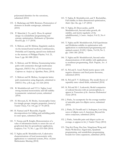polynomial identities for the octonions, submitted (2014)

- 133. S. Madariaga and M.R. Bremner, Permutation of elements in double semigroups, submitted (2014)
- 134. P. Marechal, J. Ye, and J. Zhou, K-optimal design via semidefinite programming and entropy optimization, *Mathematics of Operations Research*, pp. 1-17 (2014)
- 135. S. Melczer, and M. Mishna, Singularity analysis via the iterated kernel method, Combinatorics, *Probability and Computing,* special issue dedicated to the memory of Philippe Flajolet, Vol. 23, Issue 5, pp. 861-888 (2014)
- 136. S. Melczer, and M. Mishna, Enumerating lattice paths with symmetries through multivariate diagonals, *DMTCS Proc. of 25th International Conference on Analysis of Algorithms,* Paris, (2014)
- 137. S. Melczer and M. Mishna, Asymptotic lattice path enumeration using diagonals, submitted to *DMTCS Proc. of BA*, pp. 313-324 (2014)
- 138. B. Mordukhovich and T.T.A. Nghia, Local strong maximal monotonicity and full stability in parametric variational system, submitted (2014)
- 139. H. Movasati, K. M. Shokri, Automorphic forms for triangle groups: integrity properties, *Journal of Number Theory*, Vol. 145, pp. 67-78 (2014)
- 140. H. Namazi and P. Reynolds, Ergodic decompositions for folding and unfolding paths in outer space, submitted (2014)
- 141. V. Nenna and R. Knight, Demonstration of a value of information metric to assess the use of geophysical data for groundwater application*, Geophysics,* Vol. 79, No. 1, pp. E51-E60 (2014)
- 142. T. Nghia and B. Mordukhovich, Coderivative characterizations of local monotonicity with applications to variational systems, Proc. of Joint Mathematics Meeting (2014)
- 143. T. Nghia, B. Mordukhovich, and T. Rockafellar, Full stability in finite-dimensional optimization, *Math. Oper. Res.* pp. 1-27 (2014)
- 144. T. Nghia, D. Drusvyatskiy, and B. Mordukhovich, Second-order growth, tilt stability, and metric regularity of the subdifferential, *J. Convex Analysis,* Vol 21, No 4 (2014)
- 145. T. Nghia and B. Mordukhovich, Full Lipschitzian and Holderian stability in optimization with applications to mathematical programming and optimal control, *SIAM J. Optim*., Vol 24, No 3, pp. 1344-1381 (2014)
- 146. T. Nghia and B. Mordukhovich, Second-order characterizations of tilt stability with applications to nonlinear programming, *Math. Program., Ser. A* (2014)
- 147. K. Pal and S. Assaf, Partial metric spaces with negative distances and fixed point theorems, submitted (2014)
- 148. K. Pal and F. V. Kuhlmann, The model theory of separably tame valued fields, submitted (2014)
- 149. K. Pal and M. C. Laskowski, Model companion of ordered theories with an automorphism, to appear in *Transactions of the American Mathematical Society* (2014)
- 150. J. Parks, An asymptotic for the average number of amicable pairs for elliptic curves, submitted (2014)
- 151. J. Parks, D. Firorilli and A. Sodergren, Low-lying zeros of elliptic curve L-functions: Beyond the ratios conjecture, submitted (2014)
- 152. J. Parks, Amicable pairs and aliquot cycles on average, to appear in *Int. J. Number Theory* (2014)
- 153. Ting Kei Pong, Hao Sun, Ningchuan Wang and Henry Wolkowicz. Eigenvalue, Quadratic programming, and semidefinite programming bounds for vertex separators, submitted (2014)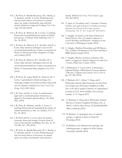- 154. J. R. Potts, G. Bastille-Rousseau, D.L. Murray, J. A. Schaefer, and M. A. Lewis, Predicting local and non-local effects of resources on animal space use using a mechanistic step-selection model, *Methods in Ecology and Evolution,* Vol. 5 Iss. 3 pp. 253-262 (2014)
- 155. J. R. Potts, K. Mokross, M. A. Lewis, A unifying framework for quantifying the nature of animal interactions, *The Royal Society Publishing*, Vol. 11 No. 96 (2014)
- 156. J. R. Potts, K. Mokross, P. C. Stouffer, and M. A. Lewis, Step selection techniques uncover the environmental predictors of space use patterns in flocks of Amazonian birds, accepted to *Ecology and Evolution* (2014)
- 157. J. R. Potts, K. Mokross, P.C. Stouffer, M. A. Lewis, Step selection techniques uncover the environmental predictors of space use patterns in flocks of Amazonian birds, preprint, *Ecol. Evol.* (2014)
- 158. J. R. Potts, M. Auger-Méthé, K. Mokross, M. A. Lewis, A generalized residual technique for analyzing complex movement models using earth mover's distance, *Methods Ecol. Evol.,* Vol 5, Iss. 10 pp. 1012-1022 (2014)
- 159. J. R. Potts, and M. A. Lewis, A mathematical approach to territorial pattern formation, to appear in November special edition, *Am. Math. Mon.* (2014)
- 160. J. R. Potts, K. Mokross, and M. A. Lewis, A unifying framework for quantifying the nature of animal interactions, *J. Roy. Soc. Interface.*, Vol. 11, No. 96 (2014)
- 161. J. R. Potts and M. A. Lewis, How do animal territories form and change? Lessons from 20 years of mechanistic modelling, *Proc. Roy. Soc. B*, Vol 281, No 1784 (2014)
- 162. J. R. Potts, G. Bastille-Rousseau, D. L. Murray, J. A. Schaefer, and M. A. Lewis, Predicting local and non-local effects of resources on animal space use using a mechanistic step-selection

model, *Methods Ecol. Evol.*, Vol 5, Issue 3, pp. 253–262 (2014)

- 163. A. Quas, G. Froyland, and C. Gonzalez Tokman, Stability and approximation of random invariant densities for Lasota-Yorke map cocycles, *Nonlinearity*, Vol. 27, No. 4, pp. 647-660 (2014)
- 164. C. Quigley, In Search of de Sitter Solutions in String Theory, *Proc. of Canadian Conference on General Relativity and Relativistic Astrophysics* at the University of Winnipeg, Canada (2014)
- 165. C. Quigley, Mathieu Moonshine and M5-Branes, *Proc. of Modern Developments in M-Theory workshop* at BIRS, Banff, Canada (2014)
- 166. C. Quigley, Physics of mirror symmetry: The basics, to appear in *Thematic Program on Calabi-Yau Varieties*, Fields Inst. Comm. (2014)
- 167. I. Rahmanian, Y. Lucet, and S. Tesfamariam, Optimal Design of Reinforced Concrete Beams: A Review, *Computers and Concrete*, Vol 13, No 4, pp. 457-482 (2014)
- 168. Z. Rahmati, M. A. Abam, V. King, and S. Whitesides, Kinetic Data Structures for the Semi-Yao Graph and All Nearest Neighbors in Rd, *Proc. of the 26th Canadian Conference on Computational Geometry (CCCG 2014)*, Halifax, Nova Scotia, Canada, 11-13 August 2014
- 169. Z. Rahmati, V. King and S. Whitesides, Kinetic Reverse k-Nearest Neighbor Problem, *Proc. of IWOCA (2014),* Best Poster, ACM SIGGRAPH MIG workshop (2014)
- 170. D. Rolfsen, A topological view of ordered groups, to appear in *Knots in Poland III Proceedings* (2014)
- 171. D. Rolfsen, Low dimensional topology and ordering groups, to appear in *Math Slovaka, Festschrift J. Jakubik* (2014)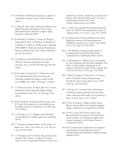- 172. D. Rolfsen, Ordering knot groups, to appear in *Oberwolfach Conference on Knot Theory Proceedings*  (2014)
- 173. Y. Shen, B. Han, and E. Braverman, Removal of Mixed Gaussian and Impulse Noise Using Directional Tensor Product Complex Tight Framelets, submited (2014)
- 174. R. Shrestha, E. Hodzic, J. Yeung, K. Wang,T. Sauerwald, P. Dao, S. Anderson, H. Beltran, M. A. Rubin, C. Collins, G. Haffari and C. Sahinalp, HIT'nDRIVE: Multi-driver Gene Prioritization Based on Hitting Time, *Proc. of RECOMB 2014*, pp. 293-306 (2014)
- 175. M. Simpson, Venkatesh Srinivasan and Alex Thomo, Clearing contamination in large networks, *Proc. of ASONAM 2014*, pp. 425-428 (2014)
- 176. R. K. Sinha, F. Ergün, K. N. Oikonomou and K. K. Ramakrishnan, Network design for tolerating multiple link failures using Fast Reroute (FRR), *Proc. DRCN 2014*, pp. 1-8 (2014)
- 177. V. Srinivasan and T. W. Reps, Recovery of Class Hierarchies and Composition Relationships from Machine Code, *Proc. CC 2014*, pp. 61-84 (2014)
- 178. R.M. Tifenbach, D. Dereniowski, D. Dyer and B. Yang, The complexity of zerovisibility cops & robber, *Frontiers in Algorithmics,* Vol. 8497, pp. 60-70 (2014)
- 179. A. Thompson , S. A. Filippin and H. Ruddat, An introduction to Hodge structures, submitted (2014)
- 180. A. Thompson, Degenerations of K3 surfaces of degree two, *Trans. Amer. Math. Soc.,* Vol. 366, No. 1, pp. 219-243 (2014)
- 181. A. Thompson and A. Harder, The geometry and moduli of K3 surfaces, to appear in Lecture Notes of the Concentrated Graduate Courses for

Calabi-Yau Varieties: Arithmetic, Geometry and Physics, (R. Laza, M. Schütt and N. Yui, eds.), forthcoming volume in the *Fields Institute Communications series* (2014)

- 182. A. Volfovsky and P.D. Hoff, Hierarchical array priors for ANOVA decompositions, *Annals of Applied Statistics,* Vol. 8, No. 1, pp. 19-47 (2014)
- 183. K. Wang and Y.S. Wong, Pollution-free finite difference schemes for nonhomogeneous Helmholtz equation, *Int. J. Numer. Anal. Model.,*  Vol 11, No 4, pp. 787-815 (2014)
- 184. C. M. Warnick, On quasinormal modes of asymptotically anti-de Sitter black holes, *Communications in Mathematical Physics* (2014)
- 185. E. Wiedemann, C. Bardos and L. Szekelyhidi, Jr, Non-uniqueness for the Euler equations: The effect of the boundary. Dedicated to the memory of Professor Mark Vishik. *Uspekhi, Mat. Nauk* Vol 69, Issue 2 (416), pp. 3-22 (2014)
- 186. J. Wires, S. Ingram, Z. Drudi, N. J. A. Harvey and A. Warfield, Characterizing Storage Workloads with Counter Stacks, *Proc. OSDI 2014,* pp. 335-349 (2014)
- 187. T Wong, A.L. Owczarek and A. Rechnitzer, Confining multiple polymers between sticky walls: a directed walk model of two polymers, *J. Phys. A: Math. Theor*., Vol. 47 (2014)
- 188. H. Wu, B. Mohar, A. Rafiey and B. Tayfey-Rezaie, Interval Minors of complete bipartite graphs, submitted to J. Graph Theory (2014)
- 189. H. Wu, J. Noel, D. B. West, and X. Zhu, Beyond Ohba's Conjecture: A bound on the choice number of k-chromatic graphs with n vertices, accepted to the *European Journal of Combinatorics* (2014)
- 190. B. Xu, Endoscopic classification of tempered representations: quasi-split general even orthogonal group and general symplectic group, preprint (2014)